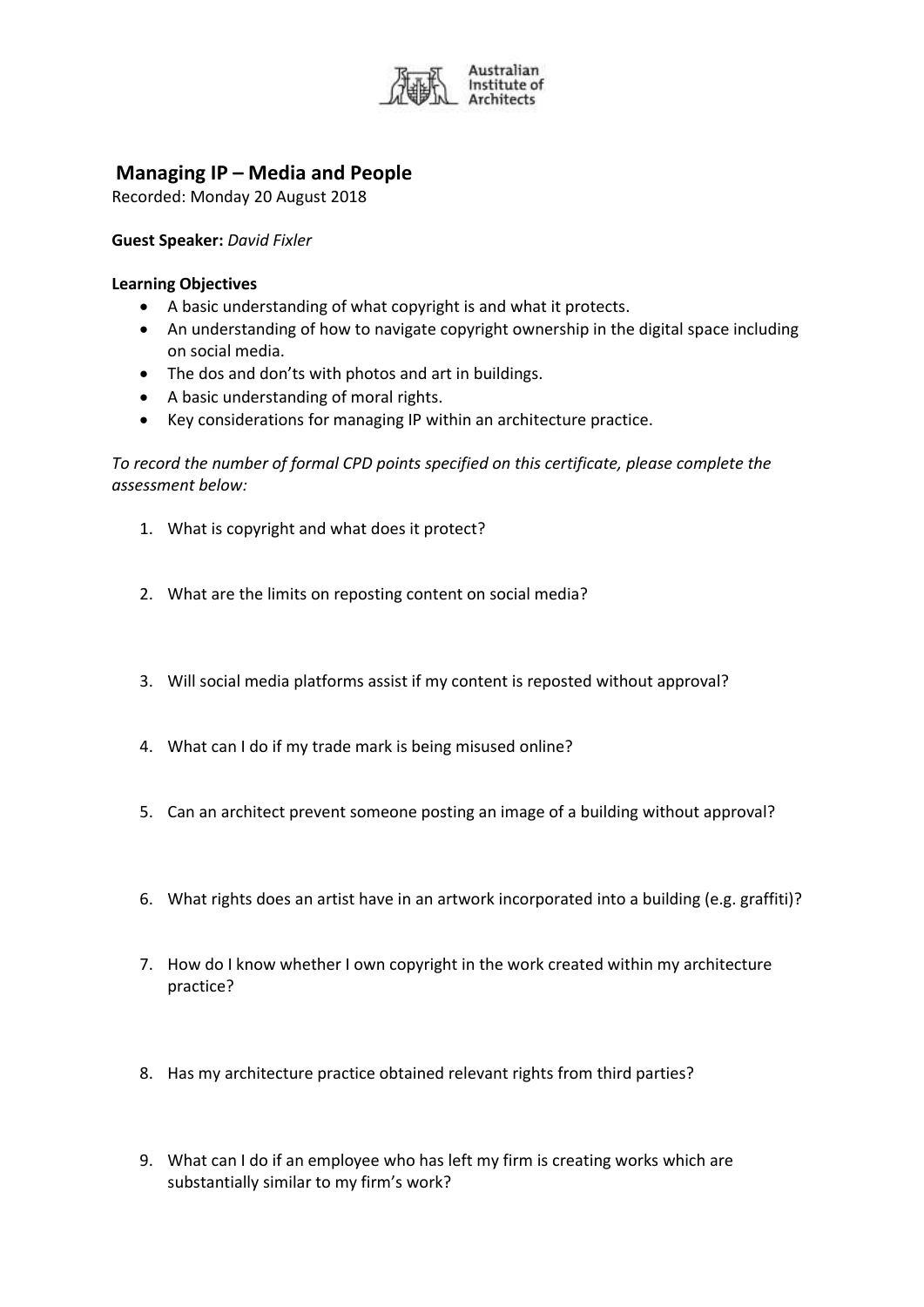

## **Managing IP – Media and People**

Recorded: Monday 20 August 2018

**Guest Speaker:** *David Fixler*

## **Learning Objectives**

- A basic understanding of what copyright is and what it protects.
- An understanding of how to navigate copyright ownership in the digital space including on social media.
- The dos and don'ts with photos and art in buildings.
- A basic understanding of moral rights.
- Key considerations for managing IP within an architecture practice.

*To record the number of formal CPD points specified on this certificate, please complete the assessment below:* 

- 1. What is copyright and what does it protect?
- 2. What are the limits on reposting content on social media?
- 3. Will social media platforms assist if my content is reposted without approval?
- 4. What can I do if my trade mark is being misused online?
- 5. Can an architect prevent someone posting an image of a building without approval?
- 6. What rights does an artist have in an artwork incorporated into a building (e.g. graffiti)?
- 7. How do I know whether I own copyright in the work created within my architecture practice?
- 8. Has my architecture practice obtained relevant rights from third parties?
- 9. What can I do if an employee who has left my firm is creating works which are substantially similar to my firm's work?